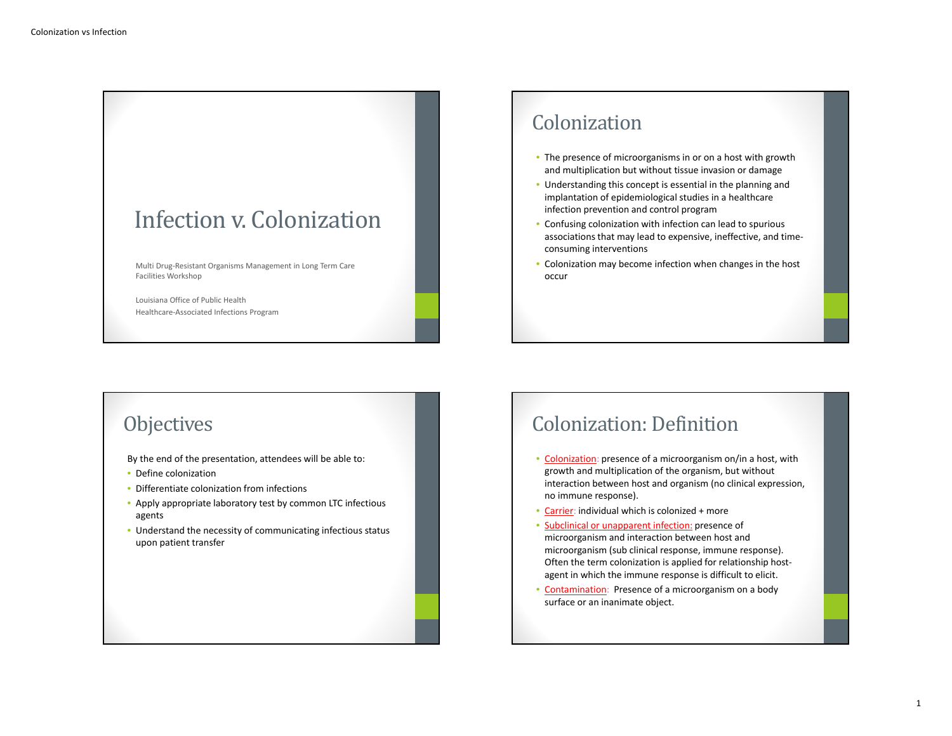

Louisiana Office of Public HealthHealthcare‐Associated Infections Program

### Colonization

- The presence of microorganisms in or on <sup>a</sup> host with growth and multiplication but without tissue invasion or damage
- Understanding this concept is essential in the planning and implantation of epidemiological studies in <sup>a</sup> healthcare infection prevention and control program
- Confusing colonization with infection can lead to spurious associations that may lead to expensive, ineffective, and time‐ consuming interventions
- Colonization may become infection when changes in the host occur

### **Objectives**

By the end of the presentation, attendees will be able to:

- Define colonization
- Differentiate colonization from infections
- Apply appropriate laboratory test by common LTC infectious agents
- Understand the necessity of communicating infectious status upon patient transfer

### Colonization: Definition

- Colonization: presence of a microorganism on/in a host, with growth and multiplication of the organism, but without interaction between host and organism (no clinical expression, no immune response).
- Carrier: individual which is colonized <sup>+</sup> more
- Subclinical or unapparent infection: presence of microorganism and interaction between host and microorganism (sub clinical response, immune response). Often the term colonization is applied for relationship host‐ agent in which the immune response is difficult to elicit.
- Contamination: Presence of a microorganism on a body surface or an inanimate object.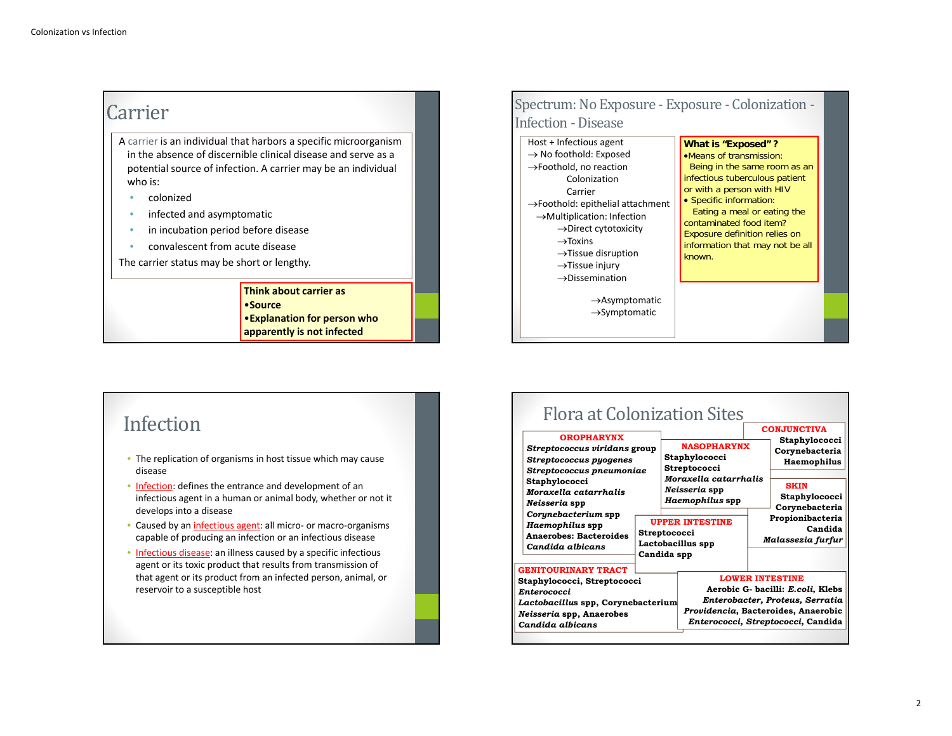### Carrier

A carrier is an individual that harbors <sup>a</sup> specific microorganism in the absence of discernible clinical disease and serve as <sup>a</sup> potential source of infection. A carrier may be an individual who is:

- •colonized
- •**•** infected and asymptomatic
- •**•** in incubation period before disease
- •convalescent from acute disease

The carrier status may be short or lengthy.

#### **Think about carrier as** •**Source**•**Explanation for person who apparently is not infected**

### Spectrum: No Exposure - Exposure - Colonization -Infection - Disease

Host <sup>+</sup> Infectious agent  $\rightarrow$  No foothold: Exposed  $\rightarrow$ Foothold, no reaction ColonizationCarrier $\rightarrow$ Foothold: epithelial attachment  $\rightarrow$ Multiplication: Infection  $\rightarrow$ Direct cytotoxicity  $\rightarrow$ Toxins  $\rightarrow$ Tissue disruption **What is "Exposed" ?**

#### $\rightarrow$ Tissue injury

 $\rightarrow$ Dissemination  $\rightarrow$ Asymptomatic

 $\rightarrow$ Symptomatic

#### **Means of transmission:** Being in the same room as an Infectious tuberculous patient or with a person with HIV • Specific information: Eating a meal or eating the

contaminated food item? Exposure definition relies on information that may not be all

# known.

### Infection

- The replication of organisms in host tissue which may cause disease
- Infection: defines the entrance and development of an infectious agent in <sup>a</sup> human or animal body, whether or not it develops into <sup>a</sup> disease
- Caused by an *infectious agent*: all micro- or macro-organisms capable of producing an infection or an infectious disease
- Infectious disease: an illness caused by a specific infectious agent or its toxic product that results from transmission of that agent or its product from an infected person, animal, or reservoir to <sup>a</sup> susceptible host

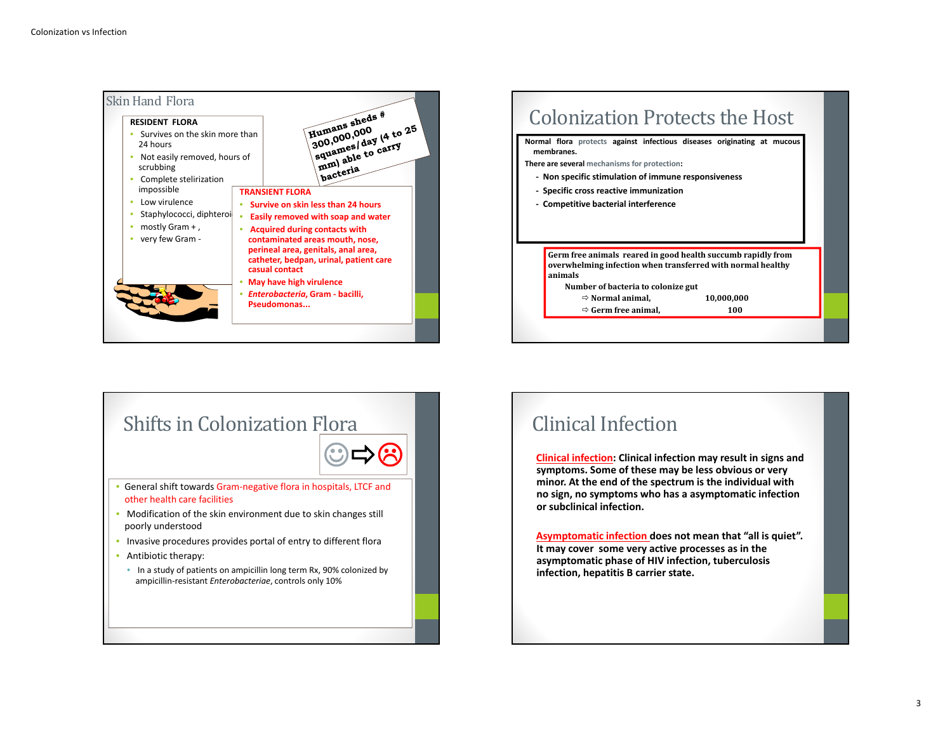





### Clinical Infection

**Clinical infection: Clinical infection may result in signs and symptoms. Some of these may be less obvious or very minor. At the end of the spectrum is the individual with no sign, no symptoms who has <sup>a</sup> asymptomatic infection or subclinical infection.**

**Asymptomatic infection does not mean that "all is quiet". It may cover some very active processes as in the asymptomatic phase of HIV infection, tuberculosis infection, hepatitis B carrier state.**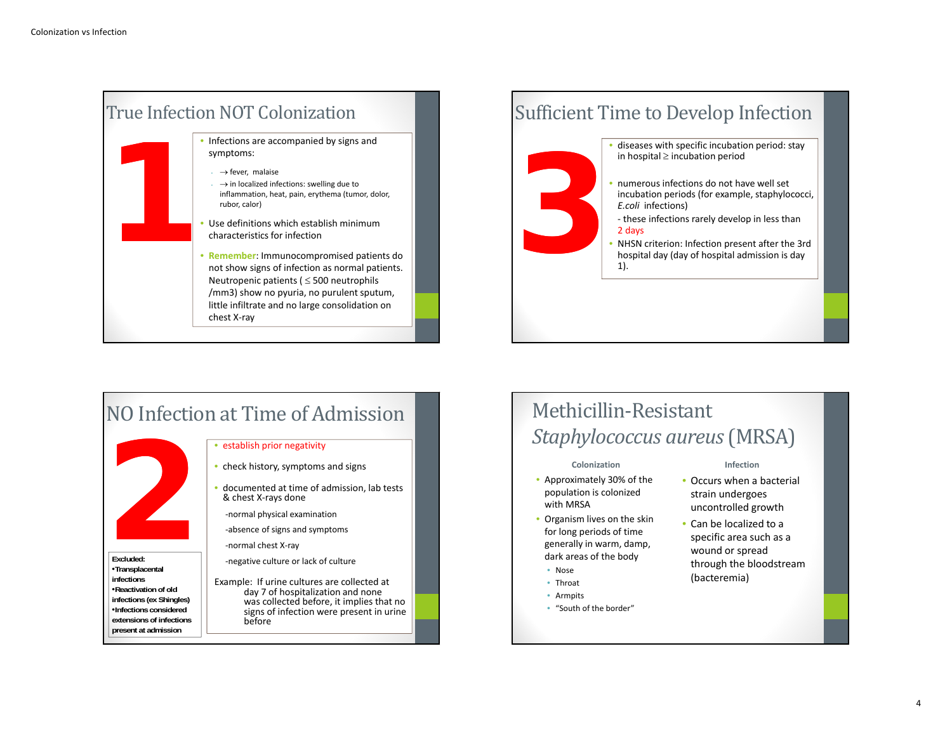

### Sufficient Time to Develop Infection

- • diseases with specific incubation period: stay in hospital  $\geq$  incubation period
- numerous infections do not have well set incubation periods (for example, staphylococci, *E.coli* infections) hospital 2 Includation period<br>
hospital admission of have well set<br>
incubation periods (for example, staphylocod<br> *3* Let these infections rarely develop in less than<br>
2 days<br>
• NHSN criterion: Infection present after the
	- ‐ these infections rarely develop in less than 2 days
	- NHSN criterion: Infection present after the 3rd 1).



## Methicillin‐Resistant *Staphylococcus aureus*(MRSA)

#### **Colonization**

- Approximately 30% of the population is colonized with MRSA
- Organism lives on the skin for long periods of time generally in warm, damp, dark areas of the body
	- Nose
	- Throat
	- Armpits
- "South of the border"

#### **Infection**

- Occurs when <sup>a</sup> bacterial strain undergoes uncontrolled growth
- Can be localized to a specific area such as <sup>a</sup> wound or spread through the bloodstream (bacteremia)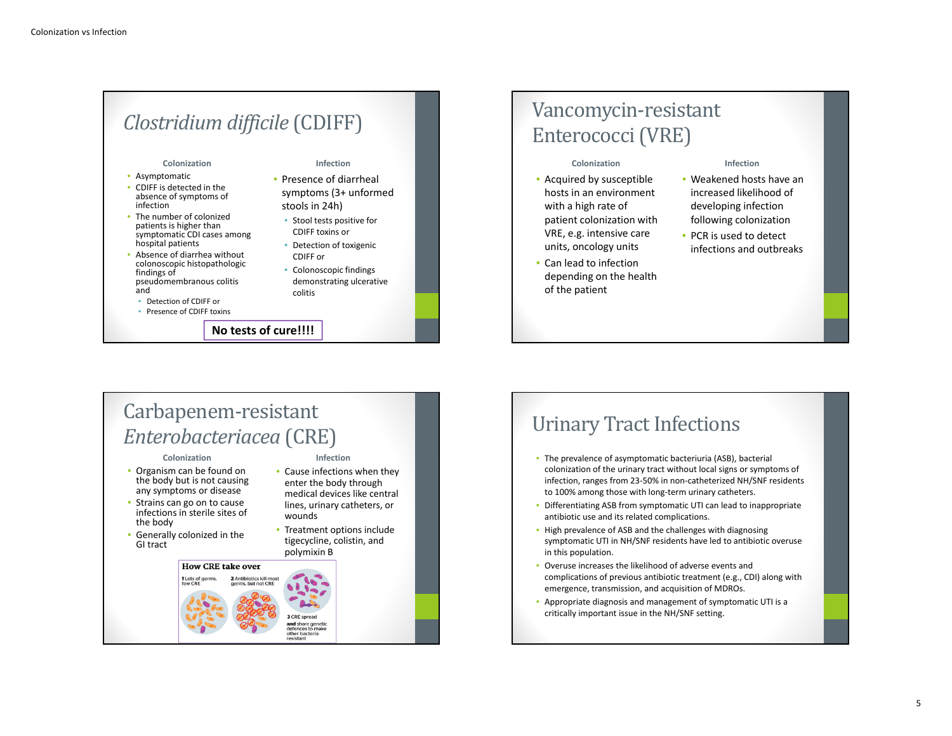# *Clostridium difficile* (CDIFF)

**Infection**• Presence of diarrheal symptoms (3+ unformed

• Colonoscopic findings demonstrating ulcerative

• Cause infections when they enter the body through medical devices like central lines, urinary catheters, or

• Treatment options include tigecycline, colistin, and

wounds

polymixin B

defences to mak other bacteria

stools in 24h) • Stool tests positive for CDIFF toxins or • Detection of toxigenic CDIFF or

colitis

**Colonization**

- Asymptomatic • CDIFF is detected in the absence of symptoms of infection
- The number of colonized patients is higher than symptomatic CDI cases among hospital patients
- Absence of diarrhea without colonoscopic histopathologic findings of pseudomembranous colitis and
- Detection of CDIFF or
- Presence of CDIFF toxins

**No tests of cure!!!!**

### Vancomycin‐resistant Enterococci (VRE)

#### **Colonization**

- Acquired by susceptible hosts in an environment with <sup>a</sup> high rate of patient colonization with VRE, e.g. intensive care units, oncology units
- Can lead to infection depending on the health of the patient

#### **Infection**

- Weakened hosts have an increased likelihood of developing infection following colonization
- PCR is used to detect infections and outbreaks

### Carbapenem‐resistant *Enterobacteriacea* (CRE) **Infection**

#### **Colonization**

- Organism can be found on the body but is not causing any symptoms or disease
- Strains can go on to cause infections in sterile sites of the body
- Generally colonized in the GI tract

### **How CRE take over** 1 Lots of germs and share geneti-

## Urinary Tract Infections

- The prevalence of asymptomatic bacteriuria (ASB), bacterial colonization of the urinary tract without local signs or symptoms of infection, ranges from 23‐50% in non‐catheterized NH/SNF residents to 100% among those with long‐term urinary catheters.
- Differentiating ASB from symptomatic UTI can lead to inappropriate antibiotic use and its related complications.
- High prevalence of ASB and the challenges with diagnosing symptomatic UTI in NH/SNF residents have led to antibiotic overuse in this population.
- • Overuse increases the likelihood of adverse events and complications of previous antibiotic treatment (e.g., CDI) along with emergence, transmission, and acquisition of MDROs.
- Appropriate diagnosis and management of symptomatic UTI is <sup>a</sup> critically important issue in the NH/SNF setting.

#### 5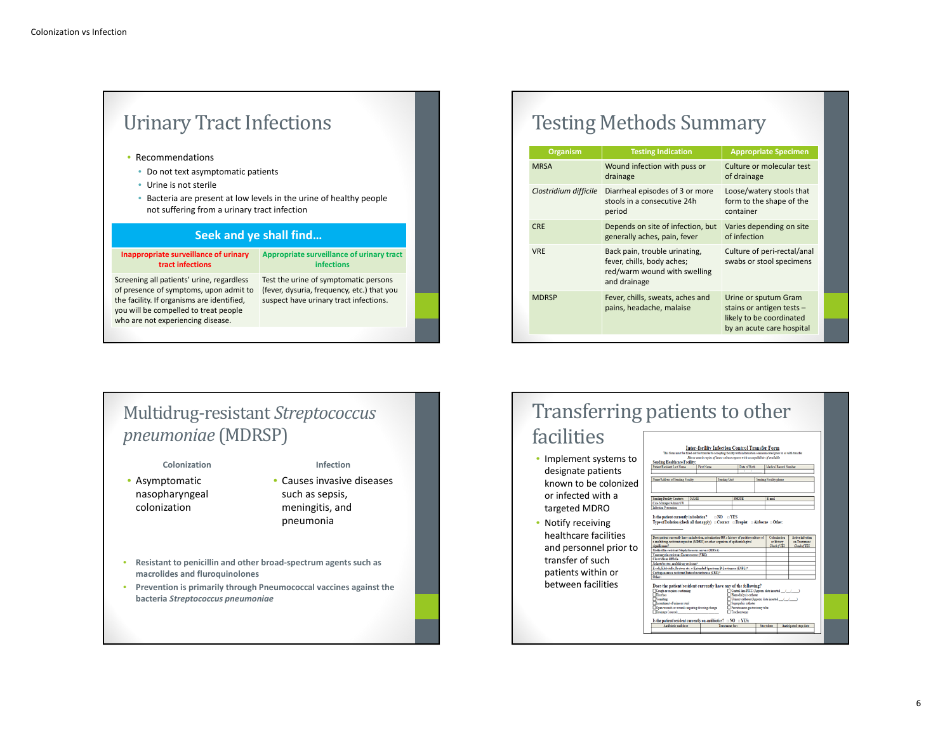| <b>Urinary Tract Infections</b>                                                      |                                                                                      |  |  |  |  |  |
|--------------------------------------------------------------------------------------|--------------------------------------------------------------------------------------|--|--|--|--|--|
| Recommendations                                                                      |                                                                                      |  |  |  |  |  |
| Do not text asymptomatic patients                                                    |                                                                                      |  |  |  |  |  |
| Urine is not sterile<br>٠                                                            |                                                                                      |  |  |  |  |  |
| ۰<br>not suffering from a urinary tract infection                                    | Bacteria are present at low levels in the urine of healthy people                    |  |  |  |  |  |
| <b>Seek and ye shall find</b>                                                        |                                                                                      |  |  |  |  |  |
| Inappropriate surveillance of urinary<br>tract infections                            | Appropriate surveillance of urinary tract<br><b>infections</b>                       |  |  |  |  |  |
| Screening all patients' urine, regardless                                            | Test the urine of symptomatic persons                                                |  |  |  |  |  |
| of presence of symptoms, upon admit to<br>the facility. If organisms are identified, | (fever, dysuria, frequency, etc.) that you<br>suspect have urinary tract infections. |  |  |  |  |  |

## Testing Methods Summary

| <b>Organism</b>       | <b>Testing Indication</b>                                                                                   | <b>Appropriate Specimen</b>                                                                                |
|-----------------------|-------------------------------------------------------------------------------------------------------------|------------------------------------------------------------------------------------------------------------|
| <b>MRSA</b>           | Wound infection with puss or<br>drainage                                                                    | Culture or molecular test<br>of drainage                                                                   |
| Clostridium difficile | Diarrheal episodes of 3 or more<br>stools in a consecutive 24h<br>period                                    | Loose/watery stools that<br>form to the shape of the<br>container                                          |
| <b>CRE</b>            | Depends on site of infection, but<br>generally aches, pain, fever                                           | Varies depending on site<br>of infection                                                                   |
| <b>VRE</b>            | Back pain, trouble urinating,<br>fever, chills, body aches;<br>red/warm wound with swelling<br>and drainage | Culture of peri-rectal/anal<br>swabs or stool specimens                                                    |
| <b>MDRSP</b>          | Fever, chills, sweats, aches and<br>pains, headache, malaise                                                | Urine or sputum Gram<br>stains or antigen tests -<br>likely to be coordinated<br>by an acute care hospital |

### Multidrug‐resistant *Streptococcus pneumoniae* (MDRSP)

**Colonization** • Asymptomatic nasopharyngeal

colonization

#### **Infection**

- Causes invasive diseases such as sepsis, meningitis, and pneumonia
- **Resistant to penicillin and other broad‐spectrum agents such as macrolides and fluroquinolones**
- **Prevention is primarily through Pneumococcal vaccines against the bacteria** *Streptococcus pneumoniae*

# Transferring patients to other

### facilities

- Implement systems to designate patients known to be colonized or infected with <sup>a</sup> targeted MDRO
- Notify receiving healthcare facilities and personnel prior to transfer of suchpatients within or between facilities

| Name/Address of Sending Facility                                                                                                                                                                                                                                                                                                                                                                                                                                                           |             |              |                                                      |                                                  |                                  |
|--------------------------------------------------------------------------------------------------------------------------------------------------------------------------------------------------------------------------------------------------------------------------------------------------------------------------------------------------------------------------------------------------------------------------------------------------------------------------------------------|-------------|--------------|------------------------------------------------------|--------------------------------------------------|----------------------------------|
|                                                                                                                                                                                                                                                                                                                                                                                                                                                                                            |             |              |                                                      |                                                  |                                  |
|                                                                                                                                                                                                                                                                                                                                                                                                                                                                                            |             | Sending Unit |                                                      | Sending Facility phone                           |                                  |
|                                                                                                                                                                                                                                                                                                                                                                                                                                                                                            |             |              |                                                      |                                                  |                                  |
| Sending Facility Contacts                                                                                                                                                                                                                                                                                                                                                                                                                                                                  | <b>NAME</b> |              | <b>PHONE</b>                                         | E-mail                                           |                                  |
| Case Manager/Admin/SW                                                                                                                                                                                                                                                                                                                                                                                                                                                                      |             |              |                                                      |                                                  |                                  |
| Infection Prevention                                                                                                                                                                                                                                                                                                                                                                                                                                                                       |             |              |                                                      |                                                  |                                  |
|                                                                                                                                                                                                                                                                                                                                                                                                                                                                                            |             |              |                                                      | Colonization<br>or history                       | Artive infection<br>on Treatment |
|                                                                                                                                                                                                                                                                                                                                                                                                                                                                                            |             |              |                                                      | Check of YES                                     | Check if TES                     |
|                                                                                                                                                                                                                                                                                                                                                                                                                                                                                            |             |              |                                                      |                                                  |                                  |
|                                                                                                                                                                                                                                                                                                                                                                                                                                                                                            |             |              |                                                      |                                                  |                                  |
|                                                                                                                                                                                                                                                                                                                                                                                                                                                                                            |             |              |                                                      |                                                  |                                  |
| Doe: patient currently have an infection, colonization OR a history of positive culture of<br>a multidrur-retittant organism (MDRO) or other organism of epidemiological<br>tigaificance?<br>Methicillin-recittant Stankylococcus aureus (MRSA)<br>Vanconvein-resistant Enterococcus (VRE)<br>Clareddina difficile<br>Acinetobacter, multidrug-retistant*<br>E coli. Klobriolla. Protour otc. w Extended Spectrum B-Lactamare (ESBL)*<br>Carbapenemate retistant Enterobacteriaceae (CRE)* |             |              |                                                      |                                                  |                                  |
| Other:                                                                                                                                                                                                                                                                                                                                                                                                                                                                                     |             |              |                                                      |                                                  |                                  |
|                                                                                                                                                                                                                                                                                                                                                                                                                                                                                            |             |              |                                                      |                                                  |                                  |
| Does the patient/resident currently have any of the following?<br>Cough or requires suctioning                                                                                                                                                                                                                                                                                                                                                                                             |             |              |                                                      | Central line PICC (Approx. date inserted / / / ) |                                  |
| Diambea<br><b>Nomiting</b>                                                                                                                                                                                                                                                                                                                                                                                                                                                                 |             |              | Hemodialysis catheter                                |                                                  |                                  |
| <b>Encontinent</b> of urine or stool<br>Open wounds or wounds requiring dressing change                                                                                                                                                                                                                                                                                                                                                                                                    |             |              | Suprapubic catheter<br>Percutaneous gastrostomy tabe | Urinary catheter (Approx. date inserted ////     |                                  |